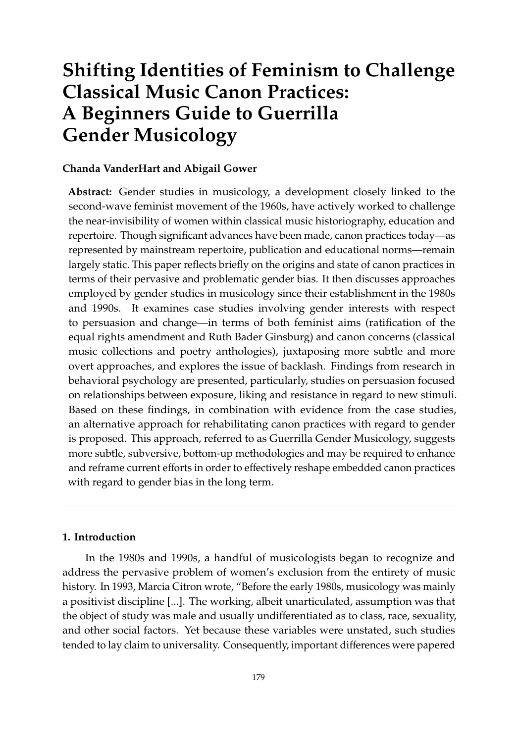# **Shifting Identities of Feminism to Challenge Classical Music Canon Practices: A Beginners Guide to Guerrilla Gender Musicology**

# **Chanda VanderHart and Abigail Gower**

**Abstract:** Gender studies in musicology, a development closely linked to the second-wave feminist movement of the 1960s, have actively worked to challenge the near-invisibility of women within classical music historiography, education and repertoire. Though significant advances have been made, canon practices today—as represented by mainstream repertoire, publication and educational norms—remain largely static. This paper reflects briefly on the origins and state of canon practices in terms of their pervasive and problematic gender bias. It then discusses approaches employed by gender studies in musicology since their establishment in the 1980s and 1990s. It examines case studies involving gender interests with respect to persuasion and change—in terms of both feminist aims (ratification of the equal rights amendment and Ruth Bader Ginsburg) and canon concerns (classical music collections and poetry anthologies), juxtaposing more subtle and more overt approaches, and explores the issue of backlash. Findings from research in behavioral psychology are presented, particularly, studies on persuasion focused on relationships between exposure, liking and resistance in regard to new stimuli. Based on these findings, in combination with evidence from the case studies, an alternative approach for rehabilitating canon practices with regard to gender is proposed. This approach, referred to as Guerrilla Gender Musicology, suggests more subtle, subversive, bottom-up methodologies and may be required to enhance and reframe current efforts in order to effectively reshape embedded canon practices with regard to gender bias in the long term.

# **1. Introduction**

In the 1980s and 1990s, a handful of musicologists began to recognize and address the pervasive problem of women's exclusion from the entirety of music history. In 1993, Marcia Citron wrote, "Before the early 1980s, musicology was mainly a positivist discipline [...]. The working, albeit unarticulated, assumption was that the object of study was male and usually undifferentiated as to class, race, sexuality, and other social factors. Yet because these variables were unstated, such studies tended to lay claim to universality. Consequently, important differences were papered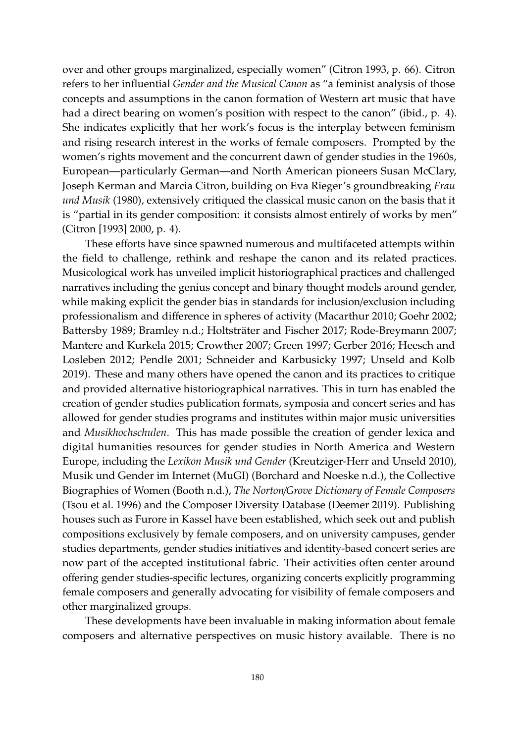over and other groups marginalized, especially women" [\(Citron](#page-15-0) [1993,](#page-15-0) p. 66). Citron refers to her influential *Gender and the Musical Canon* as "a feminist analysis of those concepts and assumptions in the canon formation of Western art music that have had a direct bearing on women's position with respect to the canon" (ibid., p. 4). She indicates explicitly that her work's focus is the interplay between feminism and rising research interest in the works of female composers. Prompted by the women's rights movement and the concurrent dawn of gender studies in the 1960s, European—particularly German—and North American pioneers Susan McClary, Joseph Kerman and Marcia Citron, building on Eva Rieger's groundbreaking *Frau und Musik* (1980), extensively critiqued the classical music canon on the basis that it is "partial in its gender composition: it consists almost entirely of works by men" [\(Citron \[1993\]](#page-15-1) [2000,](#page-15-1) p. 4).

These efforts have since spawned numerous and multifaceted attempts within the field to challenge, rethink and reshape the canon and its related practices. Musicological work has unveiled implicit historiographical practices and challenged narratives including the genius concept and binary thought models around gender, while making explicit the gender bias in standards for inclusion/exclusion including professionalism and difference in spheres of activity [\(Macarthur](#page-16-0) [2010;](#page-16-0) [Goehr](#page-16-1) [2002;](#page-16-1) [Battersby](#page-15-2) [1989;](#page-15-2) [Bramley](#page-15-3) [n.d.;](#page-15-3) [Holtsträter and Fischer](#page-16-2) [2017;](#page-16-2) [Rode-Breymann](#page-17-0) [2007;](#page-17-0) [Mantere and Kurkela](#page-16-3) [2015;](#page-16-3) [Crowther](#page-15-4) [2007;](#page-15-4) [Green](#page-16-4) [1997;](#page-16-4) [Gerber](#page-16-5) [2016;](#page-16-5) [Heesch and](#page-16-6) [Losleben](#page-16-6) [2012;](#page-16-6) [Pendle](#page-17-1) [2001;](#page-17-1) [Schneider and Karbusicky](#page-17-2) [1997;](#page-17-2) [Unseld and Kolb](#page-18-0) [2019\)](#page-18-0). These and many others have opened the canon and its practices to critique and provided alternative historiographical narratives. This in turn has enabled the creation of gender studies publication formats, symposia and concert series and has allowed for gender studies programs and institutes within major music universities and *Musikhochschulen*. This has made possible the creation of gender lexica and digital humanities resources for gender studies in North America and Western Europe, including the *Lexikon Musik und Gender* [\(Kreutziger-Herr and Unseld](#page-16-7) [2010\)](#page-16-7), Musik und Gender im Internet (MuGI) [\(Borchard and Noeske](#page-15-5) [n.d.\)](#page-15-5), the Collective Biographies of Women [\(Booth](#page-15-6) [n.d.\)](#page-15-6), *The Norton*/*Grove Dictionary of Female Composers* [\(Tsou et al.](#page-17-3) [1996\)](#page-17-3) and the Composer Diversity Database [\(Deemer](#page-15-7) [2019\)](#page-15-7). Publishing houses such as Furore in Kassel have been established, which seek out and publish compositions exclusively by female composers, and on university campuses, gender studies departments, gender studies initiatives and identity-based concert series are now part of the accepted institutional fabric. Their activities often center around offering gender studies-specific lectures, organizing concerts explicitly programming female composers and generally advocating for visibility of female composers and other marginalized groups.

These developments have been invaluable in making information about female composers and alternative perspectives on music history available. There is no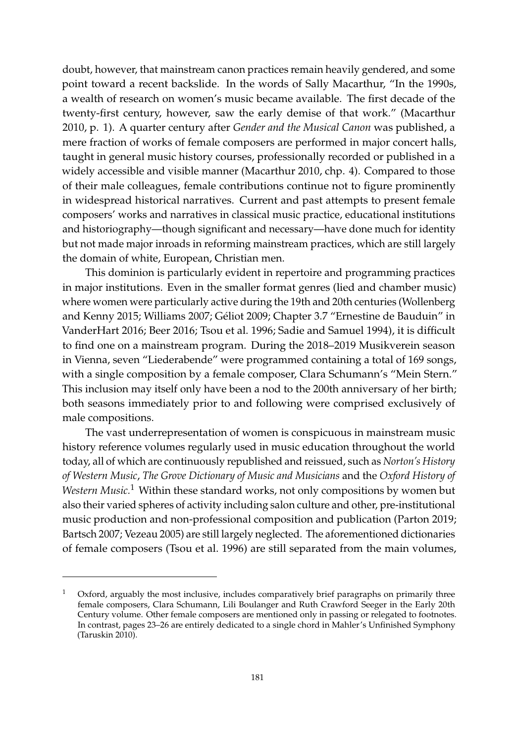doubt, however, that mainstream canon practices remain heavily gendered, and some point toward a recent backslide. In the words of Sally Macarthur, "In the 1990s, a wealth of research on women's music became available. The first decade of the twenty-first century, however, saw the early demise of that work." [\(Macarthur](#page-16-0) [2010,](#page-16-0) p. 1). A quarter century after *Gender and the Musical Canon* was published, a mere fraction of works of female composers are performed in major concert halls, taught in general music history courses, professionally recorded or published in a widely accessible and visible manner [\(Macarthur](#page-16-0) [2010,](#page-16-0) chp. 4). Compared to those of their male colleagues, female contributions continue not to figure prominently in widespread historical narratives. Current and past attempts to present female composers' works and narratives in classical music practice, educational institutions and historiography—though significant and necessary—have done much for identity but not made major inroads in reforming mainstream practices, which are still largely the domain of white, European, Christian men.

This dominion is particularly evident in repertoire and programming practices in major institutions. Even in the smaller format genres (lied and chamber music) where women were particularly active during the 19th and 20th centuries [\(Wollenberg](#page-18-1) [and Kenny](#page-18-1) [2015;](#page-18-1) [Williams](#page-18-2) [2007;](#page-18-2) Gé[liot](#page-15-8) [2009;](#page-15-8) Chapter 3.7 "Ernestine de Bauduin" in [VanderHart](#page-18-3) [2016;](#page-18-3) [Beer](#page-15-9) [2016;](#page-15-9) [Tsou et al.](#page-17-3) [1996;](#page-17-3) [Sadie and Samuel](#page-17-4) [1994\)](#page-17-4), it is difficult to find one on a mainstream program. During the 2018–2019 Musikverein season in Vienna, seven "Liederabende" were programmed containing a total of 169 songs, with a single composition by a female composer, Clara Schumann's "Mein Stern." This inclusion may itself only have been a nod to the 200th anniversary of her birth; both seasons immediately prior to and following were comprised exclusively of male compositions.

The vast underrepresentation of women is conspicuous in mainstream music history reference volumes regularly used in music education throughout the world today, all of which are continuously republished and reissued, such as *Norton's History of Western Music*, *The Grove Dictionary of Music and Musicians* and the *Oxford History of Western Music.*<sup>1</sup> Within these standard works, not only compositions by women but also their varied spheres of activity including salon culture and other, pre-institutional music production and non-professional composition and publication [\(Parton](#page-17-5) [2019;](#page-17-5) [Bartsch](#page-15-10) [2007;](#page-15-10) [Vezeau](#page-18-4) [2005\)](#page-18-4) are still largely neglected. The aforementioned dictionaries of female composers [\(Tsou et al.](#page-17-3) [1996\)](#page-17-3) are still separated from the main volumes,

Oxford, arguably the most inclusive, includes comparatively brief paragraphs on primarily three female composers, Clara Schumann, Lili Boulanger and Ruth Crawford Seeger in the Early 20th Century volume. Other female composers are mentioned only in passing or relegated to footnotes. In contrast, pages 23–26 are entirely dedicated to a single chord in Mahler's Unfinished Symphony [\(Taruskin](#page-17-6) [2010\)](#page-17-6).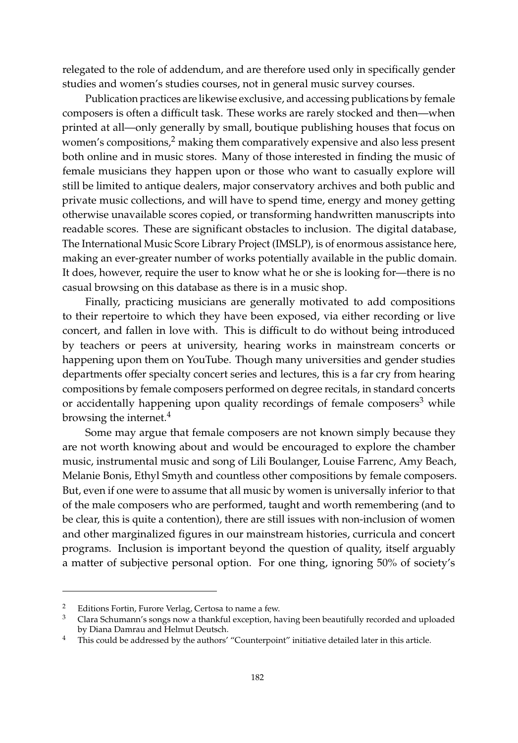relegated to the role of addendum, and are therefore used only in specifically gender studies and women's studies courses, not in general music survey courses.

Publication practices are likewise exclusive, and accessing publications by female composers is often a difficult task. These works are rarely stocked and then—when printed at all—only generally by small, boutique publishing houses that focus on women's compositions, $2 \text{ making them comparatively expensive and also less present}$ both online and in music stores. Many of those interested in finding the music of female musicians they happen upon or those who want to casually explore will still be limited to antique dealers, major conservatory archives and both public and private music collections, and will have to spend time, energy and money getting otherwise unavailable scores copied, or transforming handwritten manuscripts into readable scores. These are significant obstacles to inclusion. The digital database, The International Music Score Library Project (IMSLP), is of enormous assistance here, making an ever-greater number of works potentially available in the public domain. It does, however, require the user to know what he or she is looking for—there is no casual browsing on this database as there is in a music shop.

Finally, practicing musicians are generally motivated to add compositions to their repertoire to which they have been exposed, via either recording or live concert, and fallen in love with. This is difficult to do without being introduced by teachers or peers at university, hearing works in mainstream concerts or happening upon them on YouTube. Though many universities and gender studies departments offer specialty concert series and lectures, this is a far cry from hearing compositions by female composers performed on degree recitals, in standard concerts or accidentally happening upon quality recordings of female composers<sup>3</sup> while browsing the internet.<sup>4</sup>

Some may argue that female composers are not known simply because they are not worth knowing about and would be encouraged to explore the chamber music, instrumental music and song of Lili Boulanger, Louise Farrenc, Amy Beach, Melanie Bonis, Ethyl Smyth and countless other compositions by female composers. But, even if one were to assume that all music by women is universally inferior to that of the male composers who are performed, taught and worth remembering (and to be clear, this is quite a contention), there are still issues with non-inclusion of women and other marginalized figures in our mainstream histories, curricula and concert programs. Inclusion is important beyond the question of quality, itself arguably a matter of subjective personal option. For one thing, ignoring 50% of society's

<sup>&</sup>lt;sup>2</sup> Editions Fortin, Furore Verlag, Certosa to name a few.<br><sup>3</sup> Clara Sehumann's songs now a thankful overation, be

<sup>3</sup> Clara Schumann's songs now a thankful exception, having been beautifully recorded and uploaded by Diana Damrau and Helmut Deutsch.

<sup>&</sup>lt;sup>4</sup> This could be addressed by the authors' "Counterpoint" initiative detailed later in this article.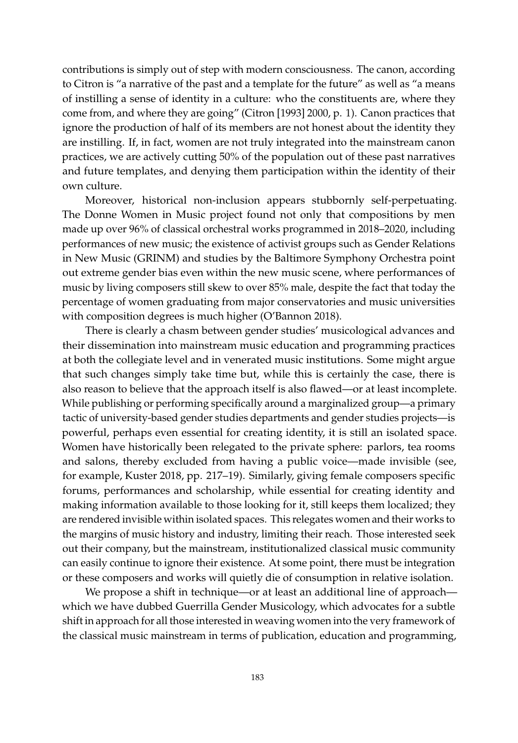contributions is simply out of step with modern consciousness. The canon, according to Citron is "a narrative of the past and a template for the future" as well as "a means of instilling a sense of identity in a culture: who the constituents are, where they come from, and where they are going" [\(Citron \[1993\]](#page-15-1) [2000,](#page-15-1) p. 1). Canon practices that ignore the production of half of its members are not honest about the identity they are instilling. If, in fact, women are not truly integrated into the mainstream canon practices, we are actively cutting 50% of the population out of these past narratives and future templates, and denying them participation within the identity of their own culture.

Moreover, historical non-inclusion appears stubbornly self-perpetuating. The Donne Women in Music project found not only that compositions by men made up over 96% of classical orchestral works programmed in 2018–2020, including performances of new music; the existence of activist groups such as Gender Relations in New Music (GRINM) and studies by the Baltimore Symphony Orchestra point out extreme gender bias even within the new music scene, where performances of music by living composers still skew to over 85% male, despite the fact that today the percentage of women graduating from major conservatories and music universities with composition degrees is much higher [\(O'Bannon](#page-17-7) [2018\)](#page-17-7).

There is clearly a chasm between gender studies' musicological advances and their dissemination into mainstream music education and programming practices at both the collegiate level and in venerated music institutions. Some might argue that such changes simply take time but, while this is certainly the case, there is also reason to believe that the approach itself is also flawed—or at least incomplete. While publishing or performing specifically around a marginalized group—a primary tactic of university-based gender studies departments and gender studies projects—is powerful, perhaps even essential for creating identity, it is still an isolated space. Women have historically been relegated to the private sphere: parlors, tea rooms and salons, thereby excluded from having a public voice—made invisible (see, for example, [Kuster](#page-16-8) [2018,](#page-16-8) pp. 217–19). Similarly, giving female composers specific forums, performances and scholarship, while essential for creating identity and making information available to those looking for it, still keeps them localized; they are rendered invisible within isolated spaces. This relegates women and their works to the margins of music history and industry, limiting their reach. Those interested seek out their company, but the mainstream, institutionalized classical music community can easily continue to ignore their existence. At some point, there must be integration or these composers and works will quietly die of consumption in relative isolation.

We propose a shift in technique—or at least an additional line of approach which we have dubbed Guerrilla Gender Musicology, which advocates for a subtle shift in approach for all those interested in weaving women into the very framework of the classical music mainstream in terms of publication, education and programming,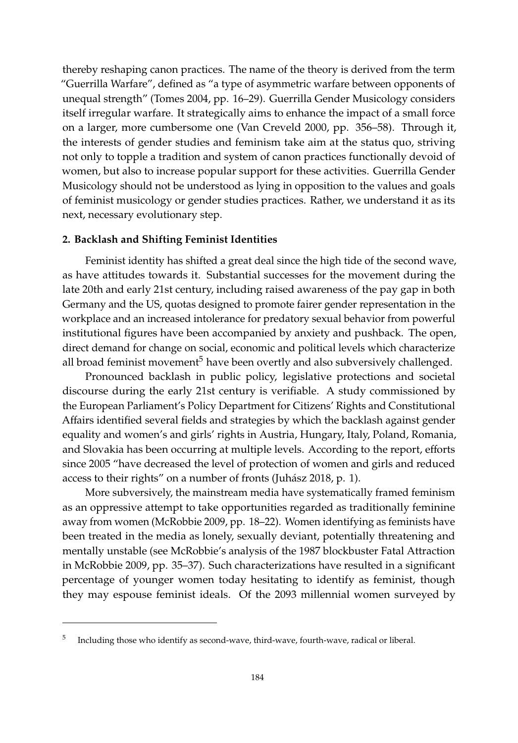thereby reshaping canon practices. The name of the theory is derived from the term "Guerrilla Warfare", defined as "a type of asymmetric warfare between opponents of unequal strength" [\(Tomes](#page-17-8) [2004,](#page-17-8) pp. 16–29). Guerrilla Gender Musicology considers itself irregular warfare. It strategically aims to enhance the impact of a small force on a larger, more cumbersome one [\(Van Creveld](#page-18-5) [2000,](#page-18-5) pp. 356–58). Through it, the interests of gender studies and feminism take aim at the status quo, striving not only to topple a tradition and system of canon practices functionally devoid of women, but also to increase popular support for these activities. Guerrilla Gender Musicology should not be understood as lying in opposition to the values and goals of feminist musicology or gender studies practices. Rather, we understand it as its next, necessary evolutionary step.

#### **2. Backlash and Shifting Feminist Identities**

Feminist identity has shifted a great deal since the high tide of the second wave, as have attitudes towards it. Substantial successes for the movement during the late 20th and early 21st century, including raised awareness of the pay gap in both Germany and the US, quotas designed to promote fairer gender representation in the workplace and an increased intolerance for predatory sexual behavior from powerful institutional figures have been accompanied by anxiety and pushback. The open, direct demand for change on social, economic and political levels which characterize all broad feminist movement<sup>5</sup> have been overtly and also subversively challenged.

Pronounced backlash in public policy, legislative protections and societal discourse during the early 21st century is verifiable. A study commissioned by the European Parliament's Policy Department for Citizens' Rights and Constitutional Affairs identified several fields and strategies by which the backlash against gender equality and women's and girls' rights in Austria, Hungary, Italy, Poland, Romania, and Slovakia has been occurring at multiple levels. According to the report, efforts since 2005 "have decreased the level of protection of women and girls and reduced access to their rights" on a number of fronts [\(Juh](#page-16-9)ász [2018,](#page-16-9) p. 1).

More subversively, the mainstream media have systematically framed feminism as an oppressive attempt to take opportunities regarded as traditionally feminine away from women [\(McRobbie](#page-16-10) [2009,](#page-16-10) pp. 18–22). Women identifying as feminists have been treated in the media as lonely, sexually deviant, potentially threatening and mentally unstable (see McRobbie's analysis of the 1987 blockbuster Fatal Attraction in [McRobbie](#page-16-10) [2009,](#page-16-10) pp. 35–37). Such characterizations have resulted in a significant percentage of younger women today hesitating to identify as feminist, though they may espouse feminist ideals. Of the 2093 millennial women surveyed by

<sup>5</sup> Including those who identify as second-wave, third-wave, fourth-wave, radical or liberal.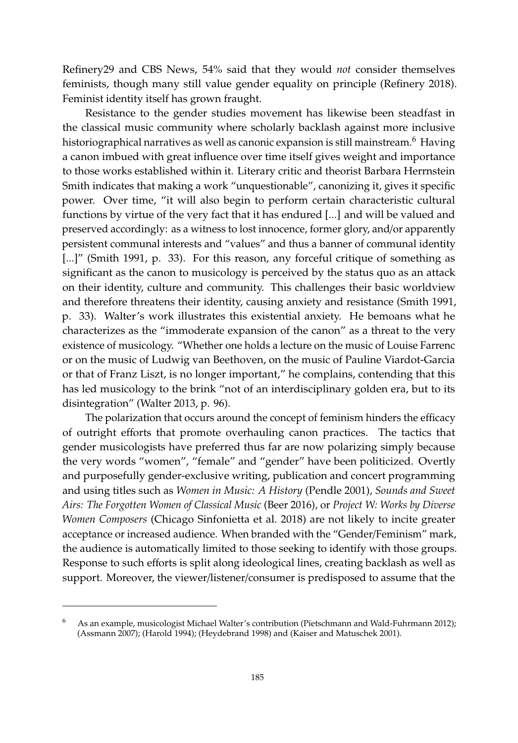Refinery29 and CBS News, 54% said that they would *not* consider themselves feminists, though many still value gender equality on principle [\(Refinery](#page-17-9) [2018\)](#page-17-9). Feminist identity itself has grown fraught.

Resistance to the gender studies movement has likewise been steadfast in the classical music community where scholarly backlash against more inclusive historiographical narratives as well as canonic expansion is still mainstream.<sup>6</sup> Having a canon imbued with great influence over time itself gives weight and importance to those works established within it. Literary critic and theorist Barbara Herrnstein Smith indicates that making a work "unquestionable", canonizing it, gives it specific power. Over time, "it will also begin to perform certain characteristic cultural functions by virtue of the very fact that it has endured [...] and will be valued and preserved accordingly: as a witness to lost innocence, former glory, and/or apparently persistent communal interests and "values" and thus a banner of communal identity [...]" [\(Smith](#page-17-10) [1991,](#page-17-10) p. 33). For this reason, any forceful critique of something as significant as the canon to musicology is perceived by the status quo as an attack on their identity, culture and community. This challenges their basic worldview and therefore threatens their identity, causing anxiety and resistance [\(Smith](#page-17-10) [1991,](#page-17-10) p. 33). Walter's work illustrates this existential anxiety. He bemoans what he characterizes as the "immoderate expansion of the canon" as a threat to the very existence of musicology. "Whether one holds a lecture on the music of Louise Farrenc or on the music of Ludwig van Beethoven, on the music of Pauline Viardot-Garcia or that of Franz Liszt, is no longer important," he complains, contending that this has led musicology to the brink "not of an interdisciplinary golden era, but to its disintegration" [\(Walter](#page-18-6) [2013,](#page-18-6) p. 96).

The polarization that occurs around the concept of feminism hinders the efficacy of outright efforts that promote overhauling canon practices. The tactics that gender musicologists have preferred thus far are now polarizing simply because the very words "women", "female" and "gender" have been politicized. Overtly and purposefully gender-exclusive writing, publication and concert programming and using titles such as *Women in Music: A History* [\(Pendle](#page-17-1) [2001\)](#page-17-1), *Sounds and Sweet Airs: The Forgotten Women of Classical Music* [\(Beer](#page-15-9) [2016\)](#page-15-9), or *Project W: Works by Diverse Women Composers* [\(Chicago Sinfonietta et al.](#page-15-11) [2018\)](#page-15-11) are not likely to incite greater acceptance or increased audience. When branded with the "Gender/Feminism" mark, the audience is automatically limited to those seeking to identify with those groups. Response to such efforts is split along ideological lines, creating backlash as well as support. Moreover, the viewer/listener/consumer is predisposed to assume that the

<sup>6</sup> As an example, musicologist Michael Walter's contribution [\(Pietschmann and Wald-Fuhrmann](#page-17-11) [2012\)](#page-17-11); [\(Assmann](#page-15-12) [2007\)](#page-15-12); [\(Harold](#page-16-11) [1994\)](#page-16-11); [\(Heydebrand](#page-16-12) [1998\)](#page-16-12) and [\(Kaiser and Matuschek](#page-16-13) [2001\)](#page-16-13).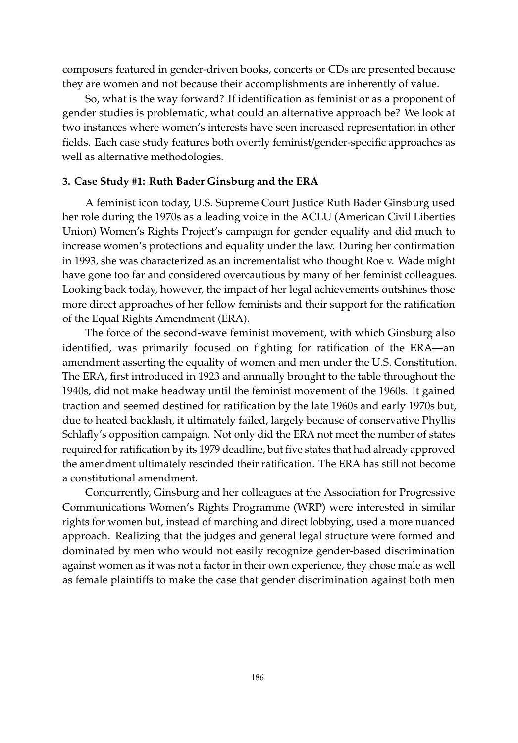composers featured in gender-driven books, concerts or CDs are presented because they are women and not because their accomplishments are inherently of value.

So, what is the way forward? If identification as feminist or as a proponent of gender studies is problematic, what could an alternative approach be? We look at two instances where women's interests have seen increased representation in other fields. Each case study features both overtly feminist/gender-specific approaches as well as alternative methodologies.

### **3. Case Study #1: Ruth Bader Ginsburg and the ERA**

A feminist icon today, U.S. Supreme Court Justice Ruth Bader Ginsburg used her role during the 1970s as a leading voice in the ACLU (American Civil Liberties Union) Women's Rights Project's campaign for gender equality and did much to increase women's protections and equality under the law. During her confirmation in 1993, she was characterized as an incrementalist who thought Roe v. Wade might have gone too far and considered overcautious by many of her feminist colleagues. Looking back today, however, the impact of her legal achievements outshines those more direct approaches of her fellow feminists and their support for the ratification of the Equal Rights Amendment (ERA).

The force of the second-wave feminist movement, with which Ginsburg also identified, was primarily focused on fighting for ratification of the ERA—an amendment asserting the equality of women and men under the U.S. Constitution. The ERA, first introduced in 1923 and annually brought to the table throughout the 1940s, did not make headway until the feminist movement of the 1960s. It gained traction and seemed destined for ratification by the late 1960s and early 1970s but, due to heated backlash, it ultimately failed, largely because of conservative Phyllis Schlafly's opposition campaign. Not only did the ERA not meet the number of states required for ratification by its 1979 deadline, but five states that had already approved the amendment ultimately rescinded their ratification. The ERA has still not become a constitutional amendment.

Concurrently, Ginsburg and her colleagues at the Association for Progressive Communications Women's Rights Programme (WRP) were interested in similar rights for women but, instead of marching and direct lobbying, used a more nuanced approach. Realizing that the judges and general legal structure were formed and dominated by men who would not easily recognize gender-based discrimination against women as it was not a factor in their own experience, they chose male as well as female plaintiffs to make the case that gender discrimination against both men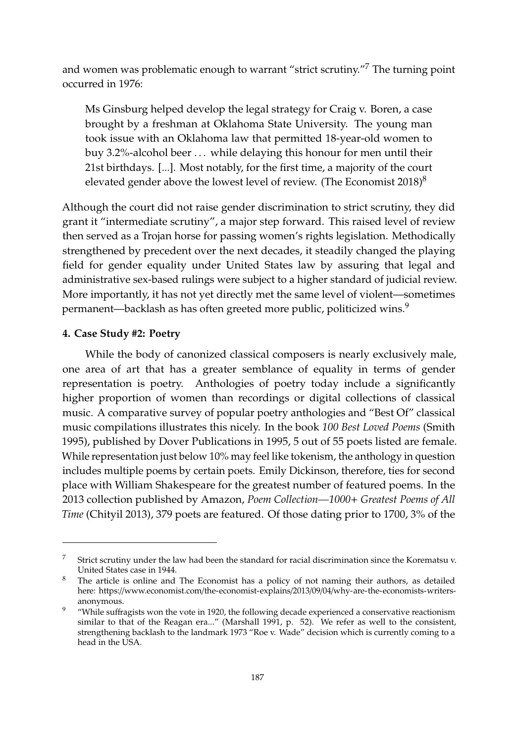and women was problematic enough to warrant "strict scrutiny."<sup>7</sup> The turning point occurred in 1976:

Ms Ginsburg helped develop the legal strategy for Craig v. Boren, a case brought by a freshman at Oklahoma State University. The young man took issue with an Oklahoma law that permitted 18-year-old women to buy 3.2%-alcohol beer ... while delaying this honour for men until their 21st birthdays. [...]. Most notably, for the first time, a majority of the court elevated gender above the lowest level of review. [\(The Economist](#page-17-12) [2018\)](#page-17-12) $^8$ 

Although the court did not raise gender discrimination to strict scrutiny, they did grant it "intermediate scrutiny", a major step forward. This raised level of review then served as a Trojan horse for passing women's rights legislation. Methodically strengthened by precedent over the next decades, it steadily changed the playing field for gender equality under United States law by assuring that legal and administrative sex-based rulings were subject to a higher standard of judicial review. More importantly, it has not yet directly met the same level of violent—sometimes permanent—backlash as has often greeted more public, politicized wins.<sup>9</sup>

# **4. Case Study #2: Poetry**

While the body of canonized classical composers is nearly exclusively male, one area of art that has a greater semblance of equality in terms of gender representation is poetry. Anthologies of poetry today include a significantly higher proportion of women than recordings or digital collections of classical music. A comparative survey of popular poetry anthologies and "Best Of" classical music compilations illustrates this nicely. In the book *100 Best Loved Poems* [\(Smith](#page-17-13) [1995\)](#page-17-13), published by Dover Publications in 1995, 5 out of 55 poets listed are female. While representation just below 10% may feel like tokenism, the anthology in question includes multiple poems by certain poets. Emily Dickinson, therefore, ties for second place with William Shakespeare for the greatest number of featured poems. In the 2013 collection published by Amazon, *Poem Collection—1000*+ *Greatest Poems of All Time* [\(Chityil](#page-15-13) [2013\)](#page-15-13), 379 poets are featured. Of those dating prior to 1700, 3% of the

<sup>&</sup>lt;sup>7</sup> Strict scrutiny under the law had been the standard for racial discrimination since the Korematsu v. United States case in 1944.

<sup>&</sup>lt;sup>8</sup> The article is online and The Economist has a policy of not naming their authors, as detailed here: https://www.economist.com/the-economist-explains/2013/09/04/[why-are-the-economists-writers](https://www.economist.com/the-economist-explains/2013/09/04/why-are-the-economists-writers-anonymous)[anonymous.](https://www.economist.com/the-economist-explains/2013/09/04/why-are-the-economists-writers-anonymous)

<sup>&</sup>lt;sup>9</sup> "While suffragists won the vote in 1920, the following decade experienced a conservative reactionism similar to that of the Reagan era..." [\(Marshall](#page-16-14) [1991,](#page-16-14) p. 52). We refer as well to the consistent, strengthening backlash to the landmark 1973 "Roe v. Wade" decision which is currently coming to a head in the USA.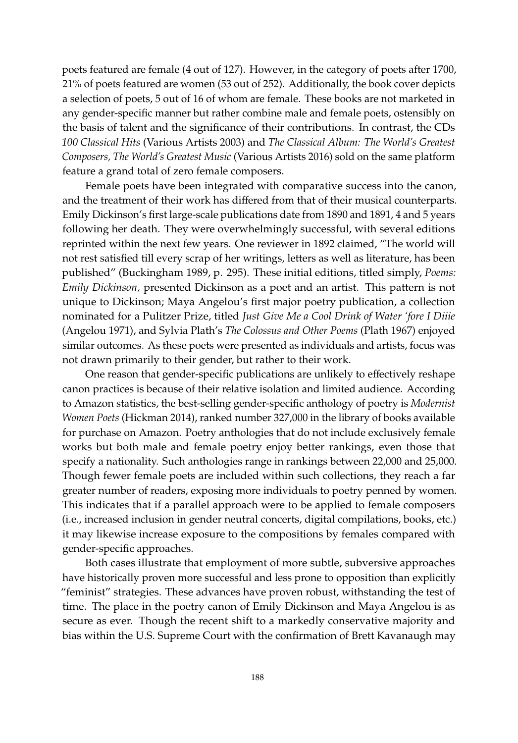poets featured are female (4 out of 127). However, in the category of poets after 1700, 21% of poets featured are women (53 out of 252). Additionally, the book cover depicts a selection of poets, 5 out of 16 of whom are female. These books are not marketed in any gender-specific manner but rather combine male and female poets, ostensibly on the basis of talent and the significance of their contributions. In contrast, the CDs *100 Classical Hits* [\(Various Artists](#page-18-7) [2003\)](#page-18-7) and *The Classical Album: The World's Greatest Composers, The World's Greatest Music* [\(Various Artists](#page-18-8) [2016\)](#page-18-8) sold on the same platform feature a grand total of zero female composers.

Female poets have been integrated with comparative success into the canon, and the treatment of their work has differed from that of their musical counterparts. Emily Dickinson's first large-scale publications date from 1890 and 1891, 4 and 5 years following her death. They were overwhelmingly successful, with several editions reprinted within the next few years. One reviewer in 1892 claimed, "The world will not rest satisfied till every scrap of her writings, letters as well as literature, has been published" [\(Buckingham](#page-15-14) [1989,](#page-15-14) p. 295). These initial editions, titled simply, *Poems: Emily Dickinson,* presented Dickinson as a poet and an artist. This pattern is not unique to Dickinson; Maya Angelou's first major poetry publication, a collection nominated for a Pulitzer Prize, titled *Just Give Me a Cool Drink of Water 'fore I Diiie* [\(Angelou](#page-15-15) [1971\)](#page-15-15), and Sylvia Plath's *The Colossus and Other Poems* [\(Plath](#page-17-14) [1967\)](#page-17-14) enjoyed similar outcomes. As these poets were presented as individuals and artists, focus was not drawn primarily to their gender, but rather to their work.

One reason that gender-specific publications are unlikely to effectively reshape canon practices is because of their relative isolation and limited audience. According to Amazon statistics, the best-selling gender-specific anthology of poetry is *Modernist Women Poets* [\(Hickman](#page-16-15) [2014\)](#page-16-15), ranked number 327,000 in the library of books available for purchase on Amazon. Poetry anthologies that do not include exclusively female works but both male and female poetry enjoy better rankings, even those that specify a nationality. Such anthologies range in rankings between 22,000 and 25,000. Though fewer female poets are included within such collections, they reach a far greater number of readers, exposing more individuals to poetry penned by women. This indicates that if a parallel approach were to be applied to female composers (i.e., increased inclusion in gender neutral concerts, digital compilations, books, etc.) it may likewise increase exposure to the compositions by females compared with gender-specific approaches.

Both cases illustrate that employment of more subtle, subversive approaches have historically proven more successful and less prone to opposition than explicitly "feminist" strategies. These advances have proven robust, withstanding the test of time. The place in the poetry canon of Emily Dickinson and Maya Angelou is as secure as ever. Though the recent shift to a markedly conservative majority and bias within the U.S. Supreme Court with the confirmation of Brett Kavanaugh may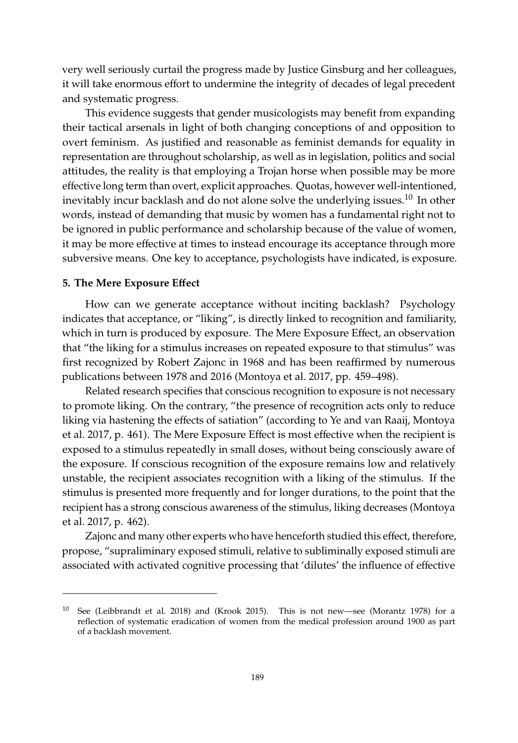very well seriously curtail the progress made by Justice Ginsburg and her colleagues, it will take enormous effort to undermine the integrity of decades of legal precedent and systematic progress.

This evidence suggests that gender musicologists may benefit from expanding their tactical arsenals in light of both changing conceptions of and opposition to overt feminism. As justified and reasonable as feminist demands for equality in representation are throughout scholarship, as well as in legislation, politics and social attitudes, the reality is that employing a Trojan horse when possible may be more effective long term than overt, explicit approaches. Quotas, however well-intentioned, inevitably incur backlash and do not alone solve the underlying issues.<sup>10</sup> In other words, instead of demanding that music by women has a fundamental right not to be ignored in public performance and scholarship because of the value of women, it may be more effective at times to instead encourage its acceptance through more subversive means. One key to acceptance, psychologists have indicated, is exposure.

# **5. The Mere Exposure E**ff**ect**

How can we generate acceptance without inciting backlash? Psychology indicates that acceptance, or "liking", is directly linked to recognition and familiarity, which in turn is produced by exposure. The Mere Exposure Effect, an observation that "the liking for a stimulus increases on repeated exposure to that stimulus" was first recognized by Robert Zajonc in 1968 and has been reaffirmed by numerous publications between 1978 and 2016 [\(Montoya et al.](#page-17-15) [2017,](#page-17-15) pp. 459–498).

Related research specifies that conscious recognition to exposure is not necessary to promote liking. On the contrary, "the presence of recognition acts only to reduce liking via hastening the effects of satiation" (according to Ye and van Raaij, [Montoya](#page-17-15) [et al.](#page-17-15) [2017,](#page-17-15) p. 461). The Mere Exposure Effect is most effective when the recipient is exposed to a stimulus repeatedly in small doses, without being consciously aware of the exposure. If conscious recognition of the exposure remains low and relatively unstable, the recipient associates recognition with a liking of the stimulus. If the stimulus is presented more frequently and for longer durations, to the point that the recipient has a strong conscious awareness of the stimulus, liking decreases [\(Montoya](#page-17-15) [et al.](#page-17-15) [2017,](#page-17-15) p. 462).

Zajonc and many other experts who have henceforth studied this effect, therefore, propose, "supraliminary exposed stimuli, relative to subliminally exposed stimuli are associated with activated cognitive processing that 'dilutes' the influence of effective

<sup>10</sup> See [\(Leibbrandt et al.](#page-16-16) [2018\)](#page-16-16) and [\(Krook](#page-16-17) [2015\)](#page-16-17). This is not new—see [\(Morantz](#page-17-16) [1978\)](#page-17-16) for a reflection of systematic eradication of women from the medical profession around 1900 as part of a backlash movement.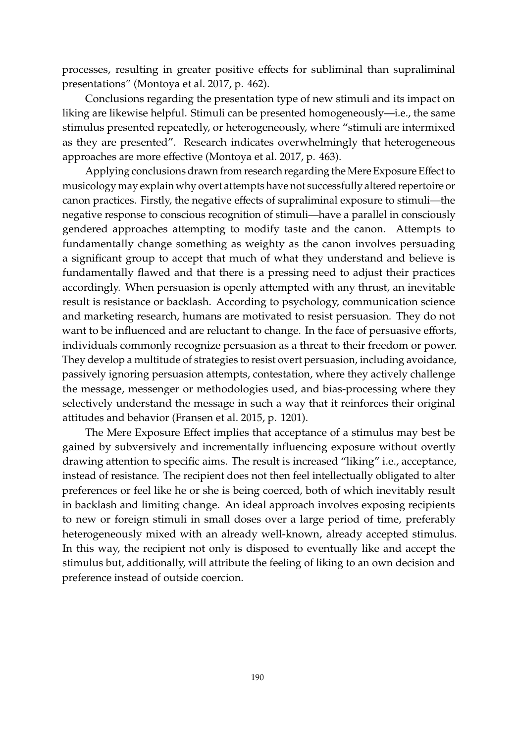processes, resulting in greater positive effects for subliminal than supraliminal presentations" [\(Montoya et al.](#page-17-15) [2017,](#page-17-15) p. 462).

Conclusions regarding the presentation type of new stimuli and its impact on liking are likewise helpful. Stimuli can be presented homogeneously—i.e., the same stimulus presented repeatedly, or heterogeneously, where "stimuli are intermixed as they are presented". Research indicates overwhelmingly that heterogeneous approaches are more effective [\(Montoya et al.](#page-17-15) [2017,](#page-17-15) p. 463).

Applying conclusions drawn from research regarding the Mere Exposure Effect to musicology may explain why overt attempts have not successfully altered repertoire or canon practices. Firstly, the negative effects of supraliminal exposure to stimuli—the negative response to conscious recognition of stimuli—have a parallel in consciously gendered approaches attempting to modify taste and the canon. Attempts to fundamentally change something as weighty as the canon involves persuading a significant group to accept that much of what they understand and believe is fundamentally flawed and that there is a pressing need to adjust their practices accordingly. When persuasion is openly attempted with any thrust, an inevitable result is resistance or backlash. According to psychology, communication science and marketing research, humans are motivated to resist persuasion. They do not want to be influenced and are reluctant to change. In the face of persuasive efforts, individuals commonly recognize persuasion as a threat to their freedom or power. They develop a multitude of strategies to resist overt persuasion, including avoidance, passively ignoring persuasion attempts, contestation, where they actively challenge the message, messenger or methodologies used, and bias-processing where they selectively understand the message in such a way that it reinforces their original attitudes and behavior [\(Fransen et al.](#page-15-16) [2015,](#page-15-16) p. 1201).

The Mere Exposure Effect implies that acceptance of a stimulus may best be gained by subversively and incrementally influencing exposure without overtly drawing attention to specific aims. The result is increased "liking" i.e., acceptance, instead of resistance. The recipient does not then feel intellectually obligated to alter preferences or feel like he or she is being coerced, both of which inevitably result in backlash and limiting change. An ideal approach involves exposing recipients to new or foreign stimuli in small doses over a large period of time, preferably heterogeneously mixed with an already well-known, already accepted stimulus. In this way, the recipient not only is disposed to eventually like and accept the stimulus but, additionally, will attribute the feeling of liking to an own decision and preference instead of outside coercion.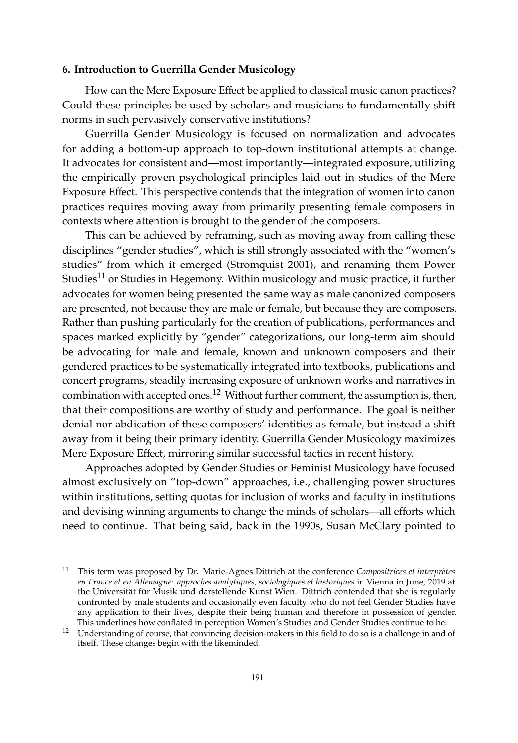# **6. Introduction to Guerrilla Gender Musicology**

How can the Mere Exposure Effect be applied to classical music canon practices? Could these principles be used by scholars and musicians to fundamentally shift norms in such pervasively conservative institutions?

Guerrilla Gender Musicology is focused on normalization and advocates for adding a bottom-up approach to top-down institutional attempts at change. It advocates for consistent and—most importantly—integrated exposure, utilizing the empirically proven psychological principles laid out in studies of the Mere Exposure Effect. This perspective contends that the integration of women into canon practices requires moving away from primarily presenting female composers in contexts where attention is brought to the gender of the composers.

This can be achieved by reframing, such as moving away from calling these disciplines "gender studies", which is still strongly associated with the "women's studies" from which it emerged [\(Stromquist](#page-17-17) [2001\)](#page-17-17), and renaming them Power Studies<sup>11</sup> or Studies in Hegemony. Within musicology and music practice, it further advocates for women being presented the same way as male canonized composers are presented, not because they are male or female, but because they are composers. Rather than pushing particularly for the creation of publications, performances and spaces marked explicitly by "gender" categorizations, our long-term aim should be advocating for male and female, known and unknown composers and their gendered practices to be systematically integrated into textbooks, publications and concert programs, steadily increasing exposure of unknown works and narratives in combination with accepted ones.<sup>12</sup> Without further comment, the assumption is, then, that their compositions are worthy of study and performance. The goal is neither denial nor abdication of these composers' identities as female, but instead a shift away from it being their primary identity. Guerrilla Gender Musicology maximizes Mere Exposure Effect, mirroring similar successful tactics in recent history.

Approaches adopted by Gender Studies or Feminist Musicology have focused almost exclusively on "top-down" approaches, i.e., challenging power structures within institutions, setting quotas for inclusion of works and faculty in institutions and devising winning arguments to change the minds of scholars—all efforts which need to continue. That being said, back in the 1990s, Susan McClary pointed to

<sup>11</sup> This term was proposed by Dr. Marie-Agnes Dittrich at the conference *Compositrices et interprètes en France et en Allemagne: approches analytiques, sociologiques et historiques* in Vienna in June, 2019 at the Universität für Musik und darstellende Kunst Wien. Dittrich contended that she is regularly confronted by male students and occasionally even faculty who do not feel Gender Studies have any application to their lives, despite their being human and therefore in possession of gender. This underlines how conflated in perception Women's Studies and Gender Studies continue to be.

<sup>12</sup> Understanding of course, that convincing decision-makers in this field to do so is a challenge in and of itself. These changes begin with the likeminded.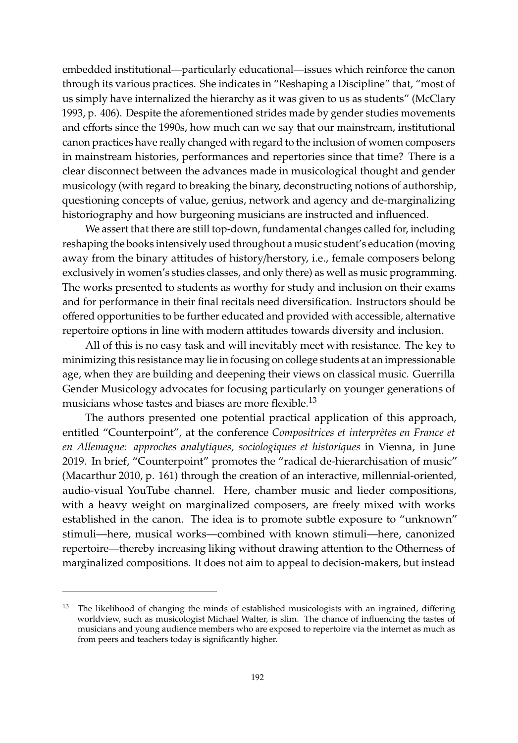embedded institutional—particularly educational—issues which reinforce the canon through its various practices. She indicates in "Reshaping a Discipline" that, "most of us simply have internalized the hierarchy as it was given to us as students" [\(McClary](#page-16-18) [1993,](#page-16-18) p. 406). Despite the aforementioned strides made by gender studies movements and efforts since the 1990s, how much can we say that our mainstream, institutional canon practices have really changed with regard to the inclusion of women composers in mainstream histories, performances and repertories since that time? There is a clear disconnect between the advances made in musicological thought and gender musicology (with regard to breaking the binary, deconstructing notions of authorship, questioning concepts of value, genius, network and agency and de-marginalizing historiography and how burgeoning musicians are instructed and influenced.

We assert that there are still top-down, fundamental changes called for, including reshaping the books intensively used throughout a music student's education (moving away from the binary attitudes of history/herstory, i.e., female composers belong exclusively in women's studies classes, and only there) as well as music programming. The works presented to students as worthy for study and inclusion on their exams and for performance in their final recitals need diversification. Instructors should be offered opportunities to be further educated and provided with accessible, alternative repertoire options in line with modern attitudes towards diversity and inclusion.

All of this is no easy task and will inevitably meet with resistance. The key to minimizing this resistance may lie in focusing on college students at an impressionable age, when they are building and deepening their views on classical music. Guerrilla Gender Musicology advocates for focusing particularly on younger generations of musicians whose tastes and biases are more flexible.<sup>13</sup>

The authors presented one potential practical application of this approach, entitled "Counterpoint", at the conference *Compositrices et interprètes en France et en Allemagne: approches analytiques, sociologiques et historiques* in Vienna, in June 2019. In brief, "Counterpoint" promotes the "radical de-hierarchisation of music" [\(Macarthur](#page-16-0) [2010,](#page-16-0) p. 161) through the creation of an interactive, millennial-oriented, audio-visual YouTube channel. Here, chamber music and lieder compositions, with a heavy weight on marginalized composers, are freely mixed with works established in the canon. The idea is to promote subtle exposure to "unknown" stimuli—here, musical works—combined with known stimuli—here, canonized repertoire—thereby increasing liking without drawing attention to the Otherness of marginalized compositions. It does not aim to appeal to decision-makers, but instead

<sup>&</sup>lt;sup>13</sup> The likelihood of changing the minds of established musicologists with an ingrained, differing worldview, such as musicologist Michael Walter, is slim. The chance of influencing the tastes of musicians and young audience members who are exposed to repertoire via the internet as much as from peers and teachers today is significantly higher.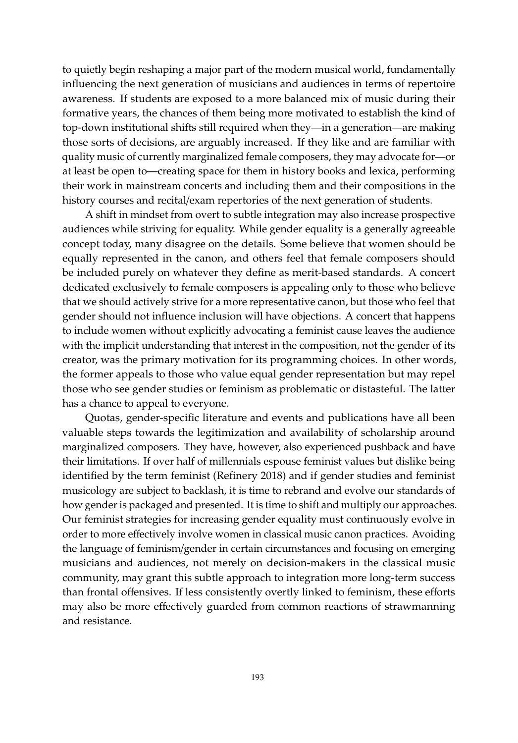to quietly begin reshaping a major part of the modern musical world, fundamentally influencing the next generation of musicians and audiences in terms of repertoire awareness. If students are exposed to a more balanced mix of music during their formative years, the chances of them being more motivated to establish the kind of top-down institutional shifts still required when they—in a generation—are making those sorts of decisions, are arguably increased. If they like and are familiar with quality music of currently marginalized female composers, they may advocate for—or at least be open to—creating space for them in history books and lexica, performing their work in mainstream concerts and including them and their compositions in the history courses and recital/exam repertories of the next generation of students.

A shift in mindset from overt to subtle integration may also increase prospective audiences while striving for equality. While gender equality is a generally agreeable concept today, many disagree on the details. Some believe that women should be equally represented in the canon, and others feel that female composers should be included purely on whatever they define as merit-based standards. A concert dedicated exclusively to female composers is appealing only to those who believe that we should actively strive for a more representative canon, but those who feel that gender should not influence inclusion will have objections. A concert that happens to include women without explicitly advocating a feminist cause leaves the audience with the implicit understanding that interest in the composition, not the gender of its creator, was the primary motivation for its programming choices. In other words, the former appeals to those who value equal gender representation but may repel those who see gender studies or feminism as problematic or distasteful. The latter has a chance to appeal to everyone.

Quotas, gender-specific literature and events and publications have all been valuable steps towards the legitimization and availability of scholarship around marginalized composers. They have, however, also experienced pushback and have their limitations. If over half of millennials espouse feminist values but dislike being identified by the term feminist [\(Refinery](#page-17-9) [2018\)](#page-17-9) and if gender studies and feminist musicology are subject to backlash, it is time to rebrand and evolve our standards of how gender is packaged and presented. It is time to shift and multiply our approaches. Our feminist strategies for increasing gender equality must continuously evolve in order to more effectively involve women in classical music canon practices. Avoiding the language of feminism/gender in certain circumstances and focusing on emerging musicians and audiences, not merely on decision-makers in the classical music community, may grant this subtle approach to integration more long-term success than frontal offensives. If less consistently overtly linked to feminism, these efforts may also be more effectively guarded from common reactions of strawmanning and resistance.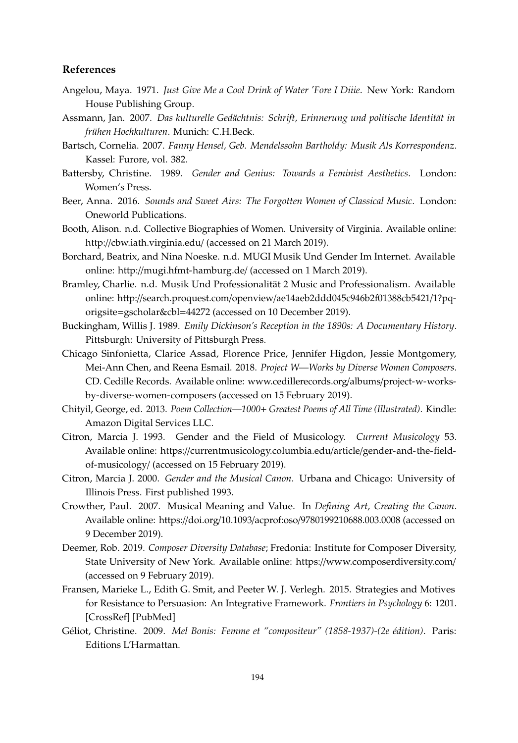# **References**

- <span id="page-15-15"></span>Angelou, Maya. 1971. *Just Give Me a Cool Drink of Water 'Fore I Diiie*. New York: Random House Publishing Group.
- <span id="page-15-12"></span>Assmann, Jan. 2007. *Das kulturelle Gedächtnis: Schrift, Erinnerung und politische Identität in frühen Hochkulturen*. Munich: C.H.Beck.
- <span id="page-15-10"></span>Bartsch, Cornelia. 2007. *Fanny Hensel, Geb. Mendelssohn Bartholdy: Musik Als Korrespondenz*. Kassel: Furore, vol. 382.
- <span id="page-15-2"></span>Battersby, Christine. 1989. *Gender and Genius: Towards a Feminist Aesthetics*. London: Women's Press.
- <span id="page-15-9"></span>Beer, Anna. 2016. *Sounds and Sweet Airs: The Forgotten Women of Classical Music*. London: Oneworld Publications.
- <span id="page-15-6"></span>Booth, Alison. n.d. Collective Biographies of Women. University of Virginia. Available online: http://[cbw.iath.virginia.edu](http://cbw.iath.virginia.edu/)/ (accessed on 21 March 2019).
- <span id="page-15-5"></span>Borchard, Beatrix, and Nina Noeske. n.d. MUGI Musik Und Gender Im Internet. Available online: http://[mugi.hfmt-hamburg.de](http://mugi.hfmt-hamburg.de/)/ (accessed on 1 March 2019).
- <span id="page-15-3"></span>Bramley, Charlie. n.d. Musik Und Professionalität 2 Music and Professionalism. Available online: http://search.proquest.com/openview/[ae14aeb2ddd045c946b2f01388cb5421](http://search.proquest.com/openview/ae14aeb2ddd045c946b2f01388cb5421/1?pq-origsite=gscholar&cbl=44272)/1?pqorigsite=[gscholar&cbl](http://search.proquest.com/openview/ae14aeb2ddd045c946b2f01388cb5421/1?pq-origsite=gscholar&cbl=44272)=44272 (accessed on 10 December 2019).
- <span id="page-15-14"></span>Buckingham, Willis J. 1989. *Emily Dickinson's Reception in the 1890s: A Documentary History*. Pittsburgh: University of Pittsburgh Press.
- <span id="page-15-11"></span>Chicago Sinfonietta, Clarice Assad, Florence Price, Jennifer Higdon, Jessie Montgomery, Mei-Ann Chen, and Reena Esmail. 2018. *Project W—Works by Diverse Women Composers*. CD. Cedille Records. Available online: [www.cedillerecords.org](www.cedillerecords.org/albums/project-w-works-by-diverse-women-composers)/albums/project-w-works[by-diverse-women-composers](www.cedillerecords.org/albums/project-w-works-by-diverse-women-composers) (accessed on 15 February 2019).
- <span id="page-15-13"></span>Chityil, George, ed. 2013. *Poem Collection—1000*+ *Greatest Poems of All Time (Illustrated)*. Kindle: Amazon Digital Services LLC.
- <span id="page-15-0"></span>Citron, Marcia J. 1993. Gender and the Field of Musicology. *Current Musicology* 53. Available online: https://[currentmusicology.columbia.edu](https://currentmusicology.columbia.edu/article/gender-and-the-field-of-musicology/)/article/gender-and-the-field[of-musicology](https://currentmusicology.columbia.edu/article/gender-and-the-field-of-musicology/)/ (accessed on 15 February 2019).
- <span id="page-15-1"></span>Citron, Marcia J. 2000. *Gender and the Musical Canon*. Urbana and Chicago: University of Illinois Press. First published 1993.
- <span id="page-15-4"></span>Crowther, Paul. 2007. Musical Meaning and Value. In *Defining Art, Creating the Canon*. Available online: https://doi.org/10.1093/acprof:oso/[9780199210688.003.0008](https://doi.org/10.1093/acprof:oso/9780199210688.003.0008) (accessed on 9 December 2019).
- <span id="page-15-7"></span>Deemer, Rob. 2019. *Composer Diversity Database*; Fredonia: Institute for Composer Diversity, State University of New York. Available online: https://[www.composerdiversity.com](https://www.composerdiversity.com/)/ (accessed on 9 February 2019).
- <span id="page-15-16"></span>Fransen, Marieke L., Edith G. Smit, and Peeter W. J. Verlegh. 2015. Strategies and Motives for Resistance to Persuasion: An Integrative Framework. *Frontiers in Psychology* 6: 1201. [\[CrossRef\]](http://dx.doi.org/10.3389/fpsyg.2015.01201) [\[PubMed\]](http://www.ncbi.nlm.nih.gov/pubmed/26322006)
- <span id="page-15-8"></span>Géliot, Christine. 2009. *Mel Bonis: Femme et "compositeur" (1858-1937)-(2e édition)*. Paris: Editions L'Harmattan.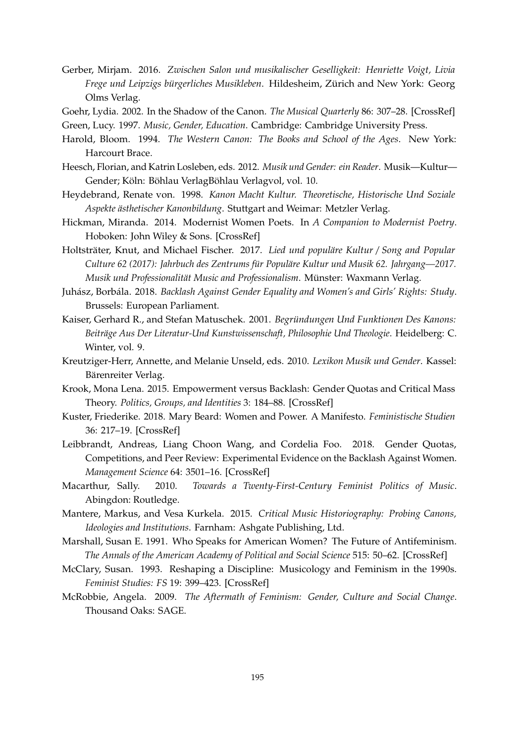- <span id="page-16-5"></span>Gerber, Mirjam. 2016. *Zwischen Salon und musikalischer Geselligkeit: Henriette Voigt, Livia Frege und Leipzigs bürgerliches Musikleben*. Hildesheim, Zürich and New York: Georg Olms Verlag.
- <span id="page-16-1"></span>Goehr, Lydia. 2002. In the Shadow of the Canon. *The Musical Quarterly* 86: 307–28. [\[CrossRef\]](http://dx.doi.org/10.1093/musqtl/gdg012)

<span id="page-16-4"></span>Green, Lucy. 1997. *Music, Gender, Education*. Cambridge: Cambridge University Press.

- <span id="page-16-11"></span>Harold, Bloom. 1994. *The Western Canon: The Books and School of the Ages*. New York: Harcourt Brace.
- <span id="page-16-6"></span>Heesch, Florian, and Katrin Losleben, eds. 2012. *Musik und Gender: ein Reader*. Musik—Kultur— Gender; Köln: Böhlau VerlagBöhlau Verlagvol, vol. 10.
- <span id="page-16-12"></span>Heydebrand, Renate von. 1998. *Kanon Macht Kultur. Theoretische, Historische Und Soziale Aspekte ästhetischer Kanonbildung*. Stuttgart and Weimar: Metzler Verlag.
- <span id="page-16-15"></span>Hickman, Miranda. 2014. Modernist Women Poets. In *A Companion to Modernist Poetry*. Hoboken: John Wiley & Sons. [\[CrossRef\]](http://dx.doi.org/10.1002/9781118604427)
- <span id="page-16-2"></span>Holtsträter, Knut, and Michael Fischer. 2017. *Lied und populäre Kultur* / *Song and Popular Culture 62 (2017): Jahrbuch des Zentrums für Populäre Kultur und Musik 62. Jahrgang—2017. Musik und Professionalität Music and Professionalism*. Münster: Waxmann Verlag.
- <span id="page-16-9"></span>Juhász, Borbála. 2018. *Backlash Against Gender Equality and Women's and Girls' Rights: Study*. Brussels: European Parliament.
- <span id="page-16-13"></span>Kaiser, Gerhard R., and Stefan Matuschek. 2001. *Begründungen Und Funktionen Des Kanons: Beiträge Aus Der Literatur-Und Kunstwissenschaft, Philosophie Und Theologie*. Heidelberg: C. Winter, vol. 9.
- <span id="page-16-7"></span>Kreutziger-Herr, Annette, and Melanie Unseld, eds. 2010. *Lexikon Musik und Gender*. Kassel: Bärenreiter Verlag.
- <span id="page-16-17"></span>Krook, Mona Lena. 2015. Empowerment versus Backlash: Gender Quotas and Critical Mass Theory. *Politics, Groups, and Identities* 3: 184–88. [\[CrossRef\]](http://dx.doi.org/10.1080/21565503.2014.999806)
- <span id="page-16-8"></span>Kuster, Friederike. 2018. Mary Beard: Women and Power. A Manifesto. *Feministische Studien* 36: 217–19. [\[CrossRef\]](http://dx.doi.org/10.1515/fs-2018-0021)
- <span id="page-16-16"></span>Leibbrandt, Andreas, Liang Choon Wang, and Cordelia Foo. 2018. Gender Quotas, Competitions, and Peer Review: Experimental Evidence on the Backlash Against Women. *Management Science* 64: 3501–16. [\[CrossRef\]](http://dx.doi.org/10.1287/mnsc.2017.2772)
- <span id="page-16-0"></span>Macarthur, Sally. 2010. *Towards a Twenty-First-Century Feminist Politics of Music*. Abingdon: Routledge.
- <span id="page-16-3"></span>Mantere, Markus, and Vesa Kurkela. 2015. *Critical Music Historiography: Probing Canons, Ideologies and Institutions*. Farnham: Ashgate Publishing, Ltd.
- <span id="page-16-14"></span>Marshall, Susan E. 1991. Who Speaks for American Women? The Future of Antifeminism. *The Annals of the American Academy of Political and Social Science* 515: 50–62. [\[CrossRef\]](http://dx.doi.org/10.1177/0002716291515001005)
- <span id="page-16-18"></span>McClary, Susan. 1993. Reshaping a Discipline: Musicology and Feminism in the 1990s. *Feminist Studies: FS* 19: 399–423. [\[CrossRef\]](http://dx.doi.org/10.2307/3178376)
- <span id="page-16-10"></span>McRobbie, Angela. 2009. *The Aftermath of Feminism: Gender, Culture and Social Change*. Thousand Oaks: SAGE.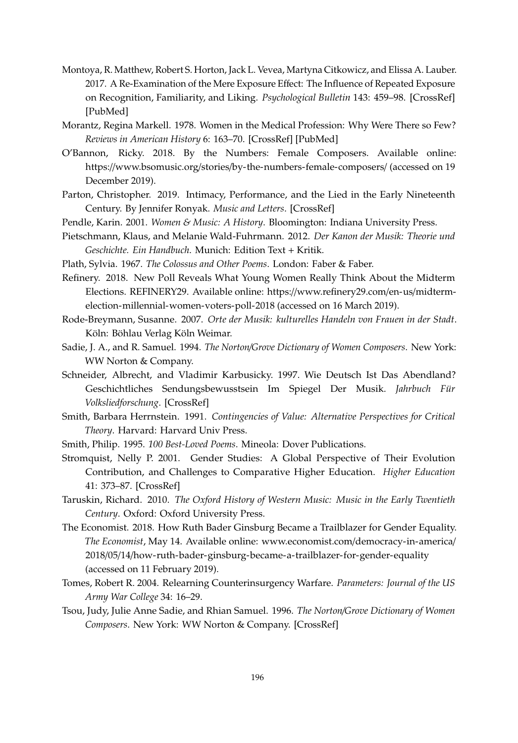- <span id="page-17-15"></span>Montoya, R. Matthew, Robert S. Horton, Jack L. Vevea, Martyna Citkowicz, and Elissa A. Lauber. 2017. A Re-Examination of the Mere Exposure Effect: The Influence of Repeated Exposure on Recognition, Familiarity, and Liking. *Psychological Bulletin* 143: 459–98. [\[CrossRef\]](http://dx.doi.org/10.1037/bul0000085) [\[PubMed\]](http://www.ncbi.nlm.nih.gov/pubmed/28263645)
- <span id="page-17-16"></span>Morantz, Regina Markell. 1978. Women in the Medical Profession: Why Were There so Few? *Reviews in American History* 6: 163–70. [\[CrossRef\]](http://dx.doi.org/10.2307/2701292) [\[PubMed\]](http://www.ncbi.nlm.nih.gov/pubmed/11610798)
- <span id="page-17-7"></span>O'Bannon, Ricky. 2018. By the Numbers: Female Composers. Available online: https://www.bsomusic.org/stories/[by-the-numbers-female-composers](https://www.bsomusic.org/stories/by-the-numbers-female-composers/)/ (accessed on 19 December 2019).
- <span id="page-17-5"></span>Parton, Christopher. 2019. Intimacy, Performance, and the Lied in the Early Nineteenth Century. By Jennifer Ronyak. *Music and Letters*. [\[CrossRef\]](http://dx.doi.org/10.1093/ml/gcz063)
- <span id="page-17-1"></span>Pendle, Karin. 2001. *Women & Music: A History*. Bloomington: Indiana University Press.
- <span id="page-17-11"></span>Pietschmann, Klaus, and Melanie Wald-Fuhrmann. 2012. *Der Kanon der Musik: Theorie und Geschichte. Ein Handbuch*. Munich: Edition Text + Kritik.
- <span id="page-17-14"></span>Plath, Sylvia. 1967. *The Colossus and Other Poems*. London: Faber & Faber.
- <span id="page-17-9"></span>Refinery. 2018. New Poll Reveals What Young Women Really Think About the Midterm Elections. REFINERY29. Available online: https://[www.refinery29.com](https://www.refinery29.com/en-us/midterm-election-millennial-women-voters-poll-2018)/en-us/midterm[election-millennial-women-voters-poll-2018](https://www.refinery29.com/en-us/midterm-election-millennial-women-voters-poll-2018) (accessed on 16 March 2019).
- <span id="page-17-0"></span>Rode-Breymann, Susanne. 2007. *Orte der Musik: kulturelles Handeln von Frauen in der Stadt*. Köln: Böhlau Verlag Köln Weimar.
- <span id="page-17-4"></span>Sadie, J. A., and R. Samuel. 1994. *The Norton*/*Grove Dictionary of Women Composers*. New York: WW Norton & Company.
- <span id="page-17-2"></span>Schneider, Albrecht, and Vladimir Karbusicky. 1997. Wie Deutsch Ist Das Abendland? Geschichtliches Sendungsbewusstsein Im Spiegel Der Musik. *Jahrbuch Für Volksliedforschung*. [\[CrossRef\]](http://dx.doi.org/10.2307/848037)
- <span id="page-17-10"></span>Smith, Barbara Herrnstein. 1991. *Contingencies of Value: Alternative Perspectives for Critical Theory*. Harvard: Harvard Univ Press.
- <span id="page-17-13"></span>Smith, Philip. 1995. *100 Best-Loved Poems*. Mineola: Dover Publications.
- <span id="page-17-17"></span>Stromquist, Nelly P. 2001. Gender Studies: A Global Perspective of Their Evolution Contribution, and Challenges to Comparative Higher Education. *Higher Education* 41: 373–87. [\[CrossRef\]](http://dx.doi.org/10.1023/A:1017501308449)
- <span id="page-17-6"></span>Taruskin, Richard. 2010. *The Oxford History of Western Music: Music in the Early Twentieth Century*. Oxford: Oxford University Press.
- <span id="page-17-12"></span>The Economist. 2018. How Ruth Bader Ginsburg Became a Trailblazer for Gender Equality. *The Economist*, May 14. Available online: www.economist.com/[democracy-in-america](www.economist.com/democracy-in-america/2018/05/14/how-ruth-bader-ginsburg-became-a-trailblazer-for-gender-equality)/ 2018/05/14/[how-ruth-bader-ginsburg-became-a-trailblazer-for-gender-equality](www.economist.com/democracy-in-america/2018/05/14/how-ruth-bader-ginsburg-became-a-trailblazer-for-gender-equality) (accessed on 11 February 2019).
- <span id="page-17-8"></span>Tomes, Robert R. 2004. Relearning Counterinsurgency Warfare. *Parameters: Journal of the US Army War College* 34: 16–29.
- <span id="page-17-3"></span>Tsou, Judy, Julie Anne Sadie, and Rhian Samuel. 1996. *The Norton*/*Grove Dictionary of Women Composers*. New York: WW Norton & Company. [\[CrossRef\]](http://dx.doi.org/10.2307/900111)